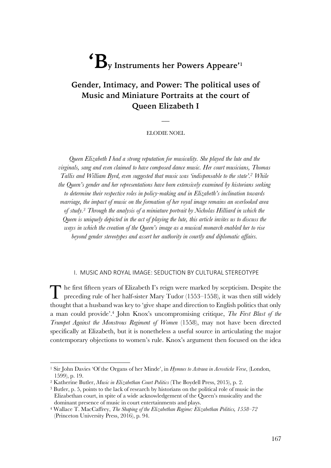# ${}^{\mathbf{f}}\mathbf{B}_{\text{v}}$  Instruments her Powers Appeare'<sup>1</sup>

# **Gender, Intimacy, and Power: The political uses of Music and Miniature Portraits at the court of Queen Elizabeth I**

#### ELODIE NOEL

 $\overline{\phantom{a}}$ 

*Queen Elizabeth I had a strong reputation for musicality. She played the lute and the virginals, sang and even claimed to have composed dance music. Her court musicians, Thomas Tallis and William Byrd, even suggested that music was 'indispensable to the state'. <sup>2</sup> While the Queen's gender and her representations have been extensively examined by historians seeking to determine their respective roles in policy-making and in Elizabeth's inclination towards marriage, the impact of music on the formation of her royal image remains an overlooked area of study.3 Through the analysis of a miniature portrait by Nicholas Hilliard in which the Queen is uniquely depicted in the act of playing the lute, this article invites us to discuss the ways in which the creation of the Queen's image as a musical monarch enabled her to rise beyond gender stereotypes and assert her authority in courtly and diplomatic affairs.*

#### I. MUSIC AND ROYAL IMAGE: SEDUCTION BY CULTURAL STEREOTYPE

he first fifteen years of Elizabeth I's reign were marked by scepticism. Despite the The first fifteen years of Elizabeth I's reign were marked by scepticism. Despite the preceding rule of her half-sister Mary Tudor (1553–1558), it was then still widely thought that a husband was key to 'give shape and direction to English politics that only a man could provide'. <sup>4</sup> John Knox's uncompromising critique, *The First Blast of the Trumpet Against the Monstrous Regiment of Women* (1558), may not have been directed specifically at Elizabeth, but it is nonetheless a useful source in articulating the major contemporary objections to women's rule. Knox's argument then focused on the idea

<sup>1</sup> Sir John Davies 'Of the Organs of her Minde', in *Hymnes to Astraea in Acrosticke Verse*, (London, 1599), p. 19.

<sup>2</sup> Katherine Butler, *Music in Elizabethan Court Politics* (The Boydell Press, 2015), p. 2.

<sup>3</sup> Butler, p. 5, points to the lack of research by historians on the political role of music in the Elizabethan court, in spite of a wide acknowledgement of the Queen's musicality and the dominant presence of music in court entertainments and plays. 4 Wallace T. MacCaffrey, *The Shaping of the Elizabethan Regime: Elizabethan Politics, 1558–72*

<sup>(</sup>Princeton University Press, 2016), p. 94.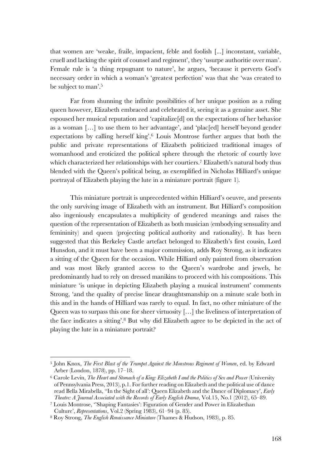that women are 'weake, fraile, impacient, feble and foolish [...] inconstant, variable, cruell and lacking the spirit of counsel and regiment', they 'usurpe authoritie over man'. Female rule is 'a thing repugnant to nature', he argues, 'because it perverts God's necessary order in which a woman's 'greatest perfection' was that she 'was created to be subject to man'.5

Far from shunning the infinite possibilities of her unique position as a ruling queen however, Elizabeth embraced and celebrated it, seeing it as a genuine asset. She espoused her musical reputation and 'capitalize[d] on the expectations of her behavior as a woman […] to use them to her advantage', and 'plac[ed] herself beyond gender expectations by calling herself king'. <sup>6</sup> Louis Montrose further argues that both the public and private representations of Elizabeth politicized traditional images of womanhood and eroticized the political sphere through the rhetoric of courtly love which characterized her relationships with her courtiers.7 Elizabeth's natural body thus blended with the Queen's political being, as exemplified in Nicholas Hilliard's unique portrayal of Elizabeth playing the lute in a miniature portrait (figure 1).

This miniature portrait is unprecedented within Hilliard's oeuvre, and presents the only surviving image of Elizabeth with an instrument. But Hilliard's composition also ingeniously encapsulates a multiplicity of gendered meanings and raises the question of the representation of Elizabeth as both musician (embodying sensuality and femininity) and queen (projecting political authority and rationality). It has been suggested that this Berkeley Castle artefact belonged to Elizabeth's first cousin, Lord Hunsdon, and it must have been a major commission, adds Roy Strong, as it indicates a sitting of the Queen for the occasion. While Hilliard only painted from observation and was most likely granted access to the Queen's wardrobe and jewels, he predominantly had to rely on dressed manikins to proceed with his compositions. This miniature 'is unique in depicting Elizabeth playing a musical instrument' comments Strong, 'and the quality of precise linear draughtsmanship on a minute scale both in this and in the hands of Hilliard was rarely to equal. In fact, no other miniature of the Queen was to surpass this one for sheer virtuosity […] the liveliness of interpretation of the face indicates a sitting'. <sup>8</sup> But why did Elizabeth agree to be depicted in the act of playing the lute in a miniature portrait?

<sup>5</sup> John Knox, *The First Blast of the Trumpet Against the Monstrous Regiment of Women*, ed. by Edward Arber (London, 1878), pp. 17–18.

<sup>&</sup>lt;sup>6</sup> Carole Levin, *The Heart and Stomach of a King: Elizabeth I and the Politics of Sex and Power* (University of Pennsylvania Press, 2013), p.1. For further reading on Elizabeth and the political use of dance read Bella Mirabella, ''In the Sight of all': Queen Elizabeth and the Dance of Diplomacy', *Early Theatre: A Journal Associated with the Records of Early English Drama*, Vol.15, No.1 (2012), 65–89.

<sup>7</sup> Louis Montrose, ''Shaping Fantasies': Figuration of Gender and Power in Elizabethan Culture', *Representations*, Vol.2 (Spring 1983), 61–94 (p. 85).

<sup>8</sup> Roy Strong, *The English Renaissance Miniature* (Thames & Hudson, 1983), p. 85.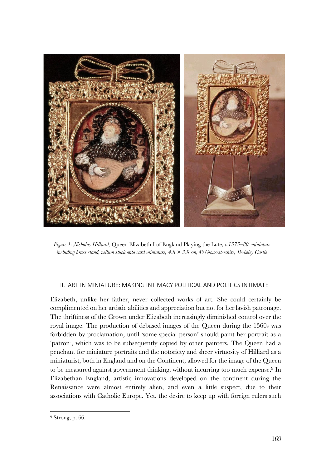

*Figure 1: Nicholas Hilliard,* Queen Elizabeth I of England Playing the Lute*, c.1575–80, miniature including brass stand, vellum stuck onto card miniature, 4.8 × 3.9 cm, © Gloucestershire, Berkeley Castle*

#### II. ART IN MINIATURE: MAKING INTIMACY POLITICAL AND POLITICS INTIMATE

Elizabeth, unlike her father, never collected works of art. She could certainly be complimented on her artistic abilities and appreciation but not for her lavish patronage. The thriftiness of the Crown under Elizabeth increasingly diminished control over the royal image. The production of debased images of the Queen during the 1560s was forbidden by proclamation, until 'some special person' should paint her portrait as a 'patron', which was to be subsequently copied by other painters. The Queen had a penchant for miniature portraits and the notoriety and sheer virtuosity of Hilliard as a miniaturist, both in England and on the Continent, allowed for the image of the Queen to be measured against government thinking, without incurring too much expense.<sup>9</sup> In Elizabethan England, artistic innovations developed on the continent during the Renaissance were almost entirely alien, and even a little suspect, due to their associations with Catholic Europe. Yet, the desire to keep up with foreign rulers such

<sup>9</sup> Strong, p. 66.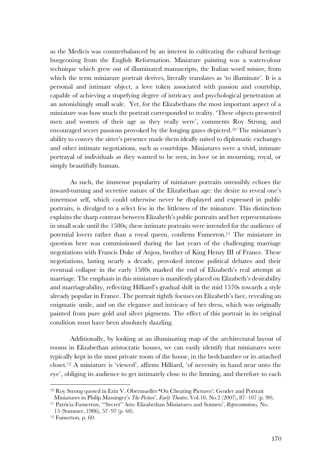as the Medicis was counterbalanced by an interest in cultivating the cultural heritage burgeoning from the English Reformation. Miniature painting was a watercolour technique which grew out of illuminated manuscripts, the Italian word *miniare*, from which the term miniature portrait derives, literally translates as 'to illuminate'. It is a personal and intimate object, a love token associated with passion and courtship, capable of achieving a stupefying degree of intricacy and psychological penetration at an astonishingly small scale. Yet, for the Elizabethans the most important aspect of a miniature was how much the portrait corresponded to reality. 'These objects presented men and women of their age as they really were', comments Roy Strong, and encouraged secret passions provoked by the longing gazes depicted. <sup>10</sup> The miniature's ability to convey the sitter's presence made them ideally suited to diplomatic exchanges and other intimate negotiations, such as courtships. Miniatures were a vivid, intimate portrayal of individuals as they wanted to be seen, in love or in mourning, royal, or simply beautifully human.

As such, the immense popularity of miniature portraits ostensibly echoes the inward-turning and secretive nature of the Elizabethan age: the desire to reveal one's innermost self, which could otherwise never be displayed and expressed in public portraits, is divulged to a select few in the littleness of the minature. This distinction explains the sharp contrast between Elizabeth's public portraits and her representations in small scale until the 1580s; these intimate portraits were intended for the audience of potential lovers rather than a royal queen, confirms Fumerton.11 The miniature in question here was commissioned during the last years of the challenging marriage negotiations with Francis Duke of Anjou, brother of King Henry III of France. These negotiations, lasting nearly a decade, provoked intense political debates and their eventual collapse in the early 1580s marked the end of Elizabeth's real attempt at marriage. The emphasis in this miniature is manifestly placed on Elizabeth's desirability and marriageability, reflecting Hilliard's gradual shift in the mid 1570s towards a style already popular in France. The portrait tightly focuses on Elizabeth's face, revealing an enigmatic smile, and on the elegance and intricacy of her dress, which was originally painted from pure gold and silver pigments. The effect of this portrait in its original condition must have been absolutely dazzling.

Additionally, by looking at an illuminating map of the architectural layout of rooms in Elizabethan aristocratic houses, we can easily identify that miniatures were typically kept in the most private room of the house, in the bedchamber or its attached closet.12 A miniature is 'viewed', affirms Hilliard, 'of necessity in hand near unto the eye', obliging its audience to get intimately close to the limning, and therefore to each

<sup>10</sup> Roy Strong quoted in Erin V. Obermueller **'**On Cheating Pictures': Gender and Portrait Miniatures in Philip Massinger's *The Picture*', *Early Theatre*, Vol.10, No.2 (2007), 87–107 (p. 90).

<sup>11</sup> Patricia Fumerton, '"Secret" Arts: Elizabethan Miniatures and Sonnets', *Representations,* No.

<sup>15 (</sup>Summer, 1986), 57–97 (p. 60).

<sup>12</sup> Fumerton, p. 60.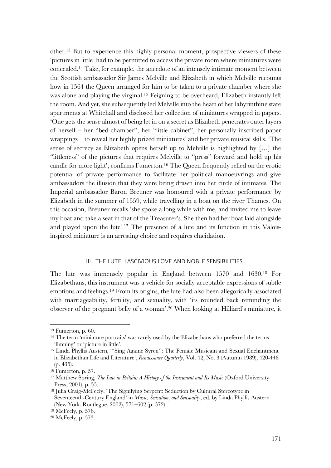other.13 But to experience this highly personal moment, prospective viewers of these 'pictures in little' had to be permitted to access the private room where miniatures were concealed.14 Take, for example, the anecdote of an intensely intimate moment between the Scottish ambassador Sir James Melville and Elizabeth in which Melville recounts how in 1564 the Queen arranged for him to be taken to a private chamber where she was alone and playing the virginal.15 Feigning to be overheard, Elizabeth instantly left the room. And yet, she subsequently led Melville into the heart of her labyrinthine state apartments at Whitehall and disclosed her collection of miniatures wrapped in papers. 'One gets the sense almost of being let in on a secret as Elizabeth penetrates outer layers of herself – her "bed-chamber", her "little cabinet", her personally inscribed paper wrappings – to reveal her highly prized miniatures' and her private musical skills. 'The sense of secrecy as Elizabeth opens herself up to Melville is highlighted by […] the "littleness" of the pictures that requires Melville to "press" forward and hold up his candle for more light', confirms Fumerton. <sup>16</sup> The Queen frequently relied on the erotic potential of private performance to facilitate her political manoeuvrings and give ambassadors the illusion that they were being drawn into her circle of intimates. The Imperial ambassador Baron Breuner was honoured with a private performance by Elizabeth in the summer of 1559, while travelling in a boat on the river Thames. On this occasion, Breuner recalls 'she spoke a long while with me, and invited me to leave my boat and take a seat in that of the Treasurer's. She then had her boat laid alongside and played upon the lute'. <sup>17</sup> The presence of a lute and its function in this Valoisinspired miniature is an arresting choice and requires elucidation.

## III. THE LUTE: LASCIVIOUS LOVE AND NOBLE SENSIBILITIES

The lute was immensely popular in England between 1570 and 1630.18 For Elizabethans, this instrument was a vehicle for socially acceptable expressions of subtle emotions and feelings.19 From its origins, the lute had also been allegorically associated with marriageability, fertility, and sexuality, with 'its rounded back reminding the observer of the pregnant belly of a woman'. <sup>20</sup> When looking at Hilliard's miniature, it

<sup>13</sup> Fumerton, p. 60.

<sup>14</sup> The term 'miniature portraits' was rarely used by the Elizabethans who preferred the terms 'limning' or 'picture in little'.

<sup>15</sup> Linda Phyllis Austern, '"Sing Againe Syren'': The Female Musicain and Sexual Enchantment in Elizabethan Life and Literature', *Renaissance Quarterly*, Vol. 42, No. 3 (Autumn 1989), 420-448 (p. 435).

<sup>16</sup> Fumerton, p. 57.

<sup>17</sup> Matthew Spring, *The Lute in Britain: A History of the Instrument and Its Music* (Oxford University Press, 2001), p. 55.

<sup>18</sup> Julia Craig-McFeely, 'The Signifying Serpent: Seduction by Cultural Stereotype in Seventeenth-Century England' in *Music, Sensation, and Sensuality*, ed. by Linda Phyllis Austern (New York: Routlegue, 2002), 571–602 (p. 572).

<sup>19</sup> McFeely, p. 576.

<sup>20</sup> McFeely, p. 573.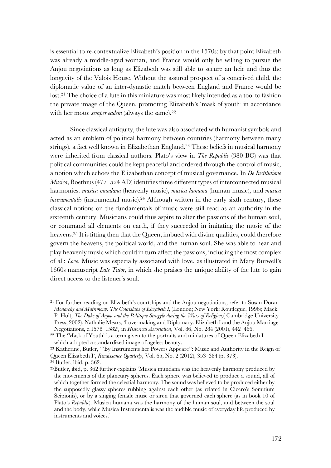is essential to re-contextualize Elizabeth's position in the 1570s: by that point Elizabeth was already a middle-aged woman, and France would only be willing to pursue the Anjou negotiations as long as Elizabeth was still able to secure an heir and thus the longevity of the Valois House. Without the assured prospect of a conceived child, the diplomatic value of an inter-dynastic match between England and France would be lost. <sup>21</sup> The choice of a lute in this miniature was most likely intended as a tool to fashion the private image of the Queen, promoting Elizabeth's 'mask of youth' in accordance with her moto: *semper eadem* (always the same).<sup>22</sup>

Since classical antiquity, the lute was also associated with humanist symbols and acted as an emblem of political harmony between countries (harmony between many strings), a fact well known in Elizabethan England.23 These beliefs in musical harmony were inherited from classical authors. Plato's view in *The Republic* (380 BC) was that political communities could be kept peaceful and ordered through the control of music, a notion which echoes the Elizabethan concept of musical governance. In *De Institutione Musica*, Boethius (477–524 AD) identifies three different types of interconnected musical harmonies: *musica mundana* (heavenly music), *musica humana* (human music), and *musica instrumentalis* (instrumental music).<sup>24</sup> Although written in the early sixth century, these classical notions on the fundamentals of music were still read as an authority in the sixteenth century. Musicians could thus aspire to alter the passions of the human soul, or command all elements on earth, if they succeeded in imitating the music of the heavens.25 It is fitting then that the Queen, imbued with divine qualities, could therefore govern the heavens, the political world, and the human soul. She was able to hear and play heavenly music which could in turn affect the passions, including the most complex of all: *Love*. Music was especially associated with love, as illustrated in Mary Burwell's 1660s manuscript *Lute Tutor,* in which she praises the unique ability of the lute to gain direct access to the listener's soul:

<sup>21</sup> For further reading on Elizabeth's courtships and the Anjou negotiations, refer to Susan Doran *Monarchy and Matrimony: The Courtships of Elizabeth I,* (London; New York: Routlegue, 1996); Mack. P. Holt, *The Duke of Anjou and the Politique Struggle during the Wars of Religion,*( Cambridge University Press, 2002); Nathalie Mears, 'Love-making and Diplomacy: Elizabeth I and the Anjou Marriage Negotiations, c.1578–1582'*,* in *Historical Association*, Vol. 86, No. 284 (2001), 442–466.

<sup>22</sup> The 'Mask of Youth' is a term given to the portraits and miniatures of Queen Elizabeth I which adopted a standardized image of ageless beauty.

<sup>23</sup> Katherine, Butler, '''By Instruments her Powers Appeare'': Music and Authority in the Reign of Queen Elizabeth I', *Renaissance Quarterly*, Vol. 65, No. 2 (2012), 353–384 (p. 373).

<sup>24</sup> Butler, ibid, p. 362.

<sup>25</sup>Butler, ibid, p. 362 further explains 'Musica mundana was the heavenly harmony produced by the movements of the planetary spheres. Each sphere was believed to produce a sound, all of which together formed the celestial harmony. The sound was believed to be produced either by the supposedly glassy spheres rubbing against each other (as related in Cicero's Somnium Scipionis), or by a singing female muse or siren that governed each sphere (as in book 10 of Plato's *Republic*). Musica humana was the harmony of the human soul, and between the soul and the body, while Musica Instrumentalis was the audible music of everyday life produced by instruments and voices.'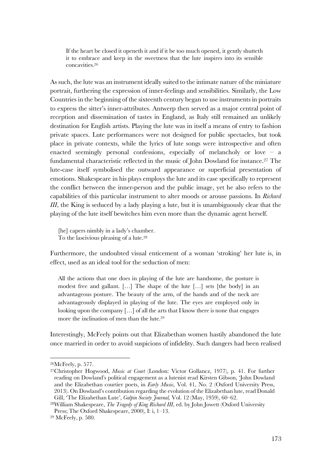If the heart be closed it openeth it and if it be too much opened, it gently shutteth it to embrace and keep in the sweetness that the lute inspires into its sensible concavities.26

As such, the lute was an instrument ideally suited to the intimate nature of the miniature portrait, furthering the expression of inner-feelings and sensibilities. Similarly, the Low Countries in the beginning of the sixteenth century began to use instruments in portraits to express the sitter's inner-attributes. Antwerp then served as a major central point of reception and dissemination of tastes in England, as Italy still remained an unlikely destination for English artists. Playing the lute was in itself a means of entry to fashion private spaces. Lute performances were not designed for public spectacles, but took place in private contexts, while the lyrics of lute songs were introspective and often enacted seemingly personal confessions, especially of melancholy or love – a fundamental characteristic reflected in the music of John Dowland for instance.27 The lute-case itself symbolised the outward appearance or superficial presentation of emotions. Shakespeare in his plays employs the lute and its case specifically to represent the conflict between the inner-person and the public image, yet he also refers to the capabilities of this particular instrument to alter moods or arouse passions. In *Richard III*, the King is seduced by a lady playing a lute, but it is unambiguously clear that the playing of the lute itself bewitches him even more than the dynamic agent herself.

[he] capers nimbly in a lady's chamber. To the lascivious pleasing of a lute.28

Furthermore, the undoubted visual enticement of a woman 'stroking' her lute is, in effect, used as an ideal tool for the seduction of men:

All the actions that one does in playing of the lute are handsome, the posture is modest free and gallant. […] The shape of the lute […] sets [the body] in an advantageous posture. The beauty of the arm, of the hands and of the neck are advantageously displayed in playing of the lute. The eyes are employed only in looking upon the company [...] of all the arts that I know there is none that engages more the inclination of men than the lute.29

Interestingly, McFeely points out that Elizabethan women hastily abandoned the lute once married in order to avoid suspicions of infidelity. Such dangers had been realised

<sup>26</sup>McFeely, p. 577.

<sup>27</sup>Christopher Hogwood, *Music at Court* (London: Victor Gollancz, 1977), p. 41. For further reading on Dowland's political engagement as a lutenist read Kirsten Gibson, 'John Dowland and the Elizabethan courtier poets, in *Early Music,* Vol. 41, No. 2 (Oxford University Press, 2013). On Dowland's contribution regarding the evolution of the Elizabethan lute, read Donald Gill, 'The Elizabethan Lute', *Galpin Society Journal,* Vol. 12 (May, 1959), 60–62.

<sup>28</sup>William Shakespeare, *The Tragedy of King Richard III*, ed. by John Jowett (Oxford University Press; The Oxford Shakespeare, 2000), I: i, 1–13.

<sup>29</sup> McFeely, p. 580.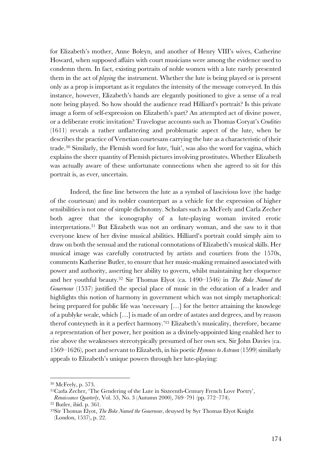for Elizabeth's mother, Anne Boleyn, and another of Henry VIII's wives, Catherine Howard, when supposed affairs with court musicians were among the evidence used to condemn them. In fact, existing portraits of noble women with a lute rarely presented them in the act of *playing* the instrument. Whether the lute is being played or is present only as a prop is important as it regulates the intensity of the message conveyed. In this instance, however, Elizabeth's hands are elegantly positioned to give a sense of a real note being played. So how should the audience read Hilliard's portrait? Is this private image a form of self-expression on Elizabeth's part? An attempted act of divine power, or a deliberate erotic invitation? Travelogue accounts such as Thomas Coryat's *Crudities* (1611) reveals a rather unflattering and problematic aspect of the lute, when he describes the practice of Venetian courtesans carrying the lute as a characteristic of their trade.30 Similarly, the Flemish word for lute, 'luit', was also the word for vagina, which explains the sheer quantity of Flemish pictures involving prostitutes. Whether Elizabeth was actually aware of these unfortunate connections when she agreed to sit for this portrait is, as ever, uncertain.

Indeed, the fine line between the lute as a symbol of lascivious love (the badge of the courtesan) and its nobler counterpart as a vehicle for the expression of higher sensibilities is not one of simple dichotomy. Scholars such as McFeely and Carla Zecher both agree that the iconography of a lute-playing woman invited erotic interpretations. <sup>31</sup> But Elizabeth was not an ordinary woman, and she saw to it that everyone knew of her divine musical abilities. Hilliard's portrait could simply aim to draw on both the sensual and the rational connotations of Elizabeth's musical skills. Her musical image was carefully constructed by artists and courtiers from the 1570s, comments Katherine Butler, to ensure that her music-making remained associated with power and authority, asserting her ability to govern, whilst maintaining her eloquence and her youthful beauty.32 Sir Thomas Elyot (ca. 1490–1546) in *The Boke Named the Gouernour* (1537) justified the special place of music in the education of a leader and highlights this notion of harmony in government which was not simply metaphorical: being prepared for public life was 'necessary [...] for the better attaining the knowlege of a publyke weale, which […] is made of an ordre of astates and degrees, and by reason therof conteyneth in it a perfect harmony.'33 Elizabeth's musicality, therefore, became a representation of her power, her position as a divinely-appointed king enabled her to rise above the weaknesses stereotypically presumed of her own sex. Sir John Davies (ca. 1569–1626), poet and servant to Elizabeth, in his poetic *Hymnes to Astraea* (1599) similarly appeals to Elizabeth's unique powers through her lute-playing:

<sup>30</sup> McFeely, p. 573.

<sup>31</sup>Carla Zecher, 'The Gendering of the Lute in Sixteenth-Century French Love Poetry', *Renaissance Quarterly*, Vol. 53, No. 3 (Autumn 2000), 769–791 (pp. 772–774).

<sup>32</sup> Butler, ibid. p. 361.

<sup>33</sup>Sir Thomas Elyot, *The Boke Named the Gouernour*, deuysed by Syr Thomas Elyot Knight (London, 1537), p. 22.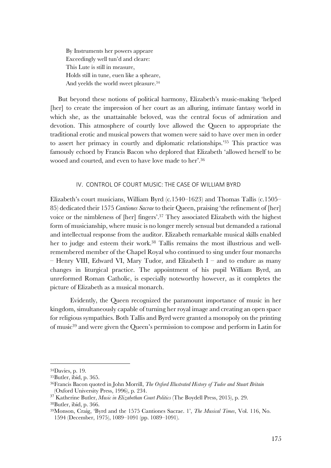By Instruments her powers appeare Exceedingly well tun'd and cleare: This Lute is still in measure, Holds still in tune, euen like a spheare, And yeelds the world sweet pleasure.34

But beyond these notions of political harmony, Elizabeth's music-making 'helped [her] to create the impression of her court as an alluring, intimate fantasy world in which she, as the unattainable beloved, was the central focus of admiration and devotion. This atmosphere of courtly love allowed the Queen to appropriate the traditional erotic and musical powers that women were said to have over men in order to assert her primacy in courtly and diplomatic relationships.'35 This practice was famously echoed by Francis Bacon who deplored that Elizabeth 'allowed herself to be wooed and courted, and even to have love made to her'.36

#### IV. CONTROL OF COURT MUSIC: THE CASE OF WILLIAM BYRD

Elizabeth's court musicians, William Byrd (c.1540–1623) and Thomas Tallis (c.1505– 85) dedicated their 1575 *Cantiones Sacrae* to their Queen, praising 'the refinement of [her] voice or the nimbleness of [her] fingers'.37 They associated Elizabeth with the highest form of musicianship, where music is no longer merely sensual but demanded a rational and intellectual response from the auditor. Elizabeth remarkable musical skills enabled her to judge and esteem their work.38 Tallis remains the most illustrious and wellremembered member of the Chapel Royal who continued to sing under four monarchs – Henry VIII, Edward VI, Mary Tudor, and Elizabeth I – and to endure as many changes in liturgical practice. The appointment of his pupil William Byrd, an unreformed Roman Catholic, is especially noteworthy however, as it completes the picture of Elizabeth as a musical monarch.

Evidently, the Queen recognized the paramount importance of music in her kingdom, simultaneously capable of turning her royal image and creating an open space for religious sympathies. Both Tallis and Byrd were granted a monopoly on the printing of music39 and were given the Queen's permission to compose and perform in Latin for

<sup>34</sup>Davies, p. 19.

<sup>35</sup>Butler, ibid, p. 365.

<sup>36</sup>Francis Bacon quoted in John Morrill, *The Oxford Illustrated History of Tudor and Stuart Britain*  (Oxford University Press, 1996), p. 234.

<sup>37</sup> Katherine Butler, *Music in Elizabethan Court Politics* (The Boydell Press, 2015), p. 29. 38Butler, ibid, p. 366.

<sup>39</sup>Monson, Craig, 'Byrd and the 1575 Cantiones Sacrae. 1', *The Musical Times*, Vol. 116, No. 1594 (December, 1975), 1089–1091 (pp. 1089–1091).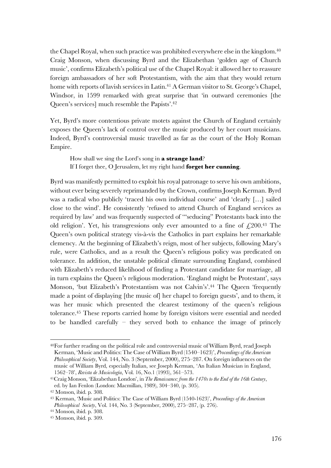the Chapel Royal, when such practice was prohibited everywhere else in the kingdom.<sup>40</sup> Craig Monson, when discussing Byrd and the Elizabethan 'golden age of Church music', confirms Elizabeth's political use of the Chapel Royal: it allowed her to reassure foreign ambassadors of her soft Protestantism, with the aim that they would return home with reports of lavish services in Latin.<sup>41</sup> A German visitor to St. George's Chapel, Windsor, in 1599 remarked with great surprise that 'in outward ceremonies [the Queen's services] much resemble the Papists'. 42

Yet, Byrd's more contentious private motets against the Church of England certainly exposes the Queen's lack of control over the music produced by her court musicians. Indeed, Byrd's controversial music travelled as far as the court of the Holy Roman Empire.

How shall we sing the Lord's song in **a strange land**? If I forget thee, O Jerusalem, let my right hand **forget her cunning**.

Byrd was manifestly permitted to exploit his royal patronage to serve his own ambitions, without ever being severely reprimanded by the Crown, confirms Joseph Kerman. Byrd was a radical who publicly 'traced his own individual course' and 'clearly […] sailed close to the wind'. He consistently 'refused to attend Church of England services as required by law' and was frequently suspected of '"seducing" Protestants back into the old religion'. Yet, his transgressions only ever amounted to a fine of  $\epsilon$ , 200.<sup>43</sup> The Queen's own political strategy vis-à-vis the Catholics in part explains her remarkable clemency. At the beginning of Elizabeth's reign, most of her subjects, following Mary's rule, were Catholics, and as a result the Queen's religious policy was predicated on tolerance. In addition, the unstable political climate surrounding England, combined with Elizabeth's reduced likelihood of finding a Protestant candidate for marriage, all in turn explains the Queen's religious moderation. 'England might be Protestant', says Monson, 'but Elizabeth's Protestantism was not Calvin's'.44 The Queen 'frequently made a point of displaying [the music of] her chapel to foreign guests', and to them, it was her music which presented the clearest testimony of the queen's religious tolerance. <sup>45</sup> These reports carried home by foreign visitors were essential and needed to be handled carefully – they served both to enhance the image of princely

<sup>40</sup>For further reading on the political role and controversial music of William Byrd, read Joseph Kerman, 'Music and Politics: The Case of William Byrd (1540–1623)', *Proceedings of the American Philosophical Society*, Vol. 144, No. 3 (September, 2000), 275–287. On foreign influences on the music of William Byrd, especially Italian, see Joseph Kerman, 'An Italian Musician in England, 1562–78', *Revista de Musicología*, Vol. 16, No.1 (1993), 561–573.

<sup>41</sup>Craig Monson, 'Elizabethan London', in *The Renaissance: from the 1470s to the End of the 16th Century*, ed. by Ian Fenlon (London: Macmillan, 1989), 304–340, (p. 305).

<sup>42</sup> Monson, ibid. p. 308.

<sup>43</sup> Kerman, 'Music and Politics: The Case of William Byrd (1540-1623)', *Proceedings of the American Philosophical Society*, Vol. 144, No. 3 (September, 2000), 275–287, (p. 276).

<sup>44</sup> Monson, ibid. p. 308.

<sup>45</sup> Monson, ibid. p. 309.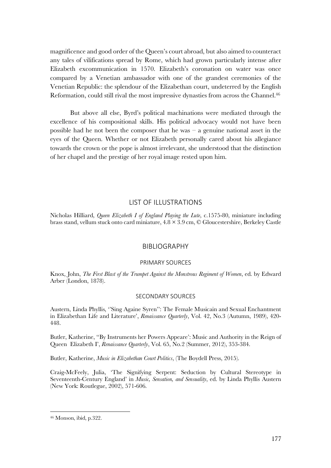magnificence and good order of the Queen's court abroad, but also aimed to counteract any tales of vilifications spread by Rome, which had grown particularly intense after Elizabeth excommunication in 1570. Elizabeth's coronation on water was once compared by a Venetian ambassador with one of the grandest ceremonies of the Venetian Republic: the splendour of the Elizabethan court, undeterred by the English Reformation, could still rival the most impressive dynasties from across the Channel.<sup>46</sup>

But above all else, Byrd's political machinations were mediated through the excellence of his compositional skills. His political advocacy would not have been possible had he not been the composer that he was  $-$  a genuine national asset in the eyes of the Queen. Whether or not Elizabeth personally cared about his allegiance towards the crown or the pope is almost irrelevant, she understood that the distinction of her chapel and the prestige of her royal image rested upon him.

#### LIST OF ILLUSTRATIONS

Nicholas Hilliard, *Queen Elizabeth I of England Playing the Lute*, c.1575-80, miniature including brass stand, vellum stuck onto card miniature, 4.8 × 3.9 cm, © Gloucestershire, Berkeley Castle

### BIBLIOGRAPHY

#### PRIMARY SOURCES

Knox, John, *The First Blast of the Trumpet Against the Monstrous Regiment of Women*, ed. by Edward Arber (London, 1878).

#### SECONDARY SOURCES

Austern, Linda Phyllis, ''Sing Againe Syren'': The Female Musicain and Sexual Enchantment in Elizabethan Life and Literature', *Renaissance Quarterly*, Vol. 42, No.3 (Autumn, 1989), 420- 448.

Butler, Katherine, ''By Instruments her Powers Appeare': Music and Authority in the Reign of Queen Elizabeth I', *Renaissance Quarterly*, Vol. 65, No.2 (Summer, 2012), 353-384.

Butler, Katherine, *Music in Elizabethan Court Politics*, (The Boydell Press, 2015).

Craig-McFeely, Julia, 'The Signifying Serpent: Seduction by Cultural Stereotype in Seventeenth-Century England' in *Music, Sensation, and Sensuality*, ed. by Linda Phyllis Austern (New York: Routlegue, 2002), 571-606.

<sup>46</sup> Monson, ibid, p.322.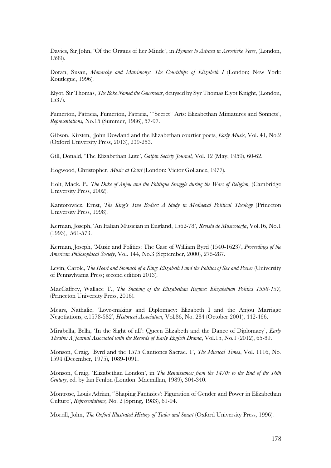Davies, Sir John, 'Of the Organs of her Minde', in *Hymnes to Astraea in Acrosticke Verse*, (London, 1599).

Doran, Susan, *Monarchy and Matrimony: The Courtships of Elizabeth I* (London; New York: Routlegue, 1996).

Elyot, Sir Thomas, *The Boke Named the Gouernour*, deuysed by Syr Thomas Elyot Knight, (London, 1537).

Fumerton, Patricia, Fumerton, Patricia, '"Secret" Arts: Elizabethan Miniatures and Sonnets', *Representations,* No.15 (Summer, 1986), 57-97.

Gibson, Kirsten, 'John Dowland and the Elizabethan courtier poets, *Early Music,* Vol. 41, No.2 (Oxford University Press, 2013), 239-253.

Gill, Donald, 'The Elizabethan Lute', *Galpin Society Journal,* Vol. 12 (May, 1959), 60-62.

Hogwood, Christopher, *Music at Court* (London: Victor Gollancz, 1977).

Holt, Mack. P., *The Duke of Anjou and the Politique Struggle during the Wars of Religion,* (Cambridge University Press, 2002).

Kantorowicz, Ernst, *The King's Two Bodies: A Study in Mediaeval Political Theology* (Princeton University Press, 1998).

Kerman, Joseph, 'An Italian Musician in England, 1562-78', *Revista de Musicología*, Vol.16, No.1 (1993), 561-573.

Kerman, Joseph, 'Music and Politics: The Case of William Byrd (1540-1623)', *Proceedings of the American Philosophical Society*, Vol. 144, No.3 (September, 2000), 275-287.

Levin, Carole, *The Heart and Stomach of a King: Elizabeth I and the Politics of Sex and Power* (University of Pennsylvania Press; second edition 2013).

MacCaffrey, Wallace T., *The Shaping of the Elizabethan Regime: Elizabethan Politics 1558-157,*  (Princeton University Press, 2016).

Mears, Nathalie, 'Love-making and Diplomacy: Elizabeth I and the Anjou Marriage Negotiations, c.1578-582'*, Historical Association*, Vol.86, No. 284 (October 2001), 442-466.

Mirabella, Bella, 'In the Sight of all': Queen Elizabeth and the Dance of Diplomacy', *Early Theatre: A Journal Associated with the Records of Early English Drama*, Vol.15, No.1 (2012), 65-89.

Monson, Craig, 'Byrd and the 1575 Cantiones Sacrae. 1', *The Musical Times*, Vol. 1116, No. 1594 (December, 1975), 1089-1091.

Monson, Craig, 'Elizabethan London', in *The Renaissance: from the 1470s to the End of the 16th Century*, ed. by Ian Fenlon (London: Macmillan, 1989), 304-340.

Montrose, Louis Adrian, ''Shaping Fantasies': Figuration of Gender and Power in Elizabethan Culture', *Representations,* No. 2 (Spring, 1983), 61-94.

Morrill, John, *The Oxford Illustrated History of Tudor and Stuart* (Oxford University Press, 1996).